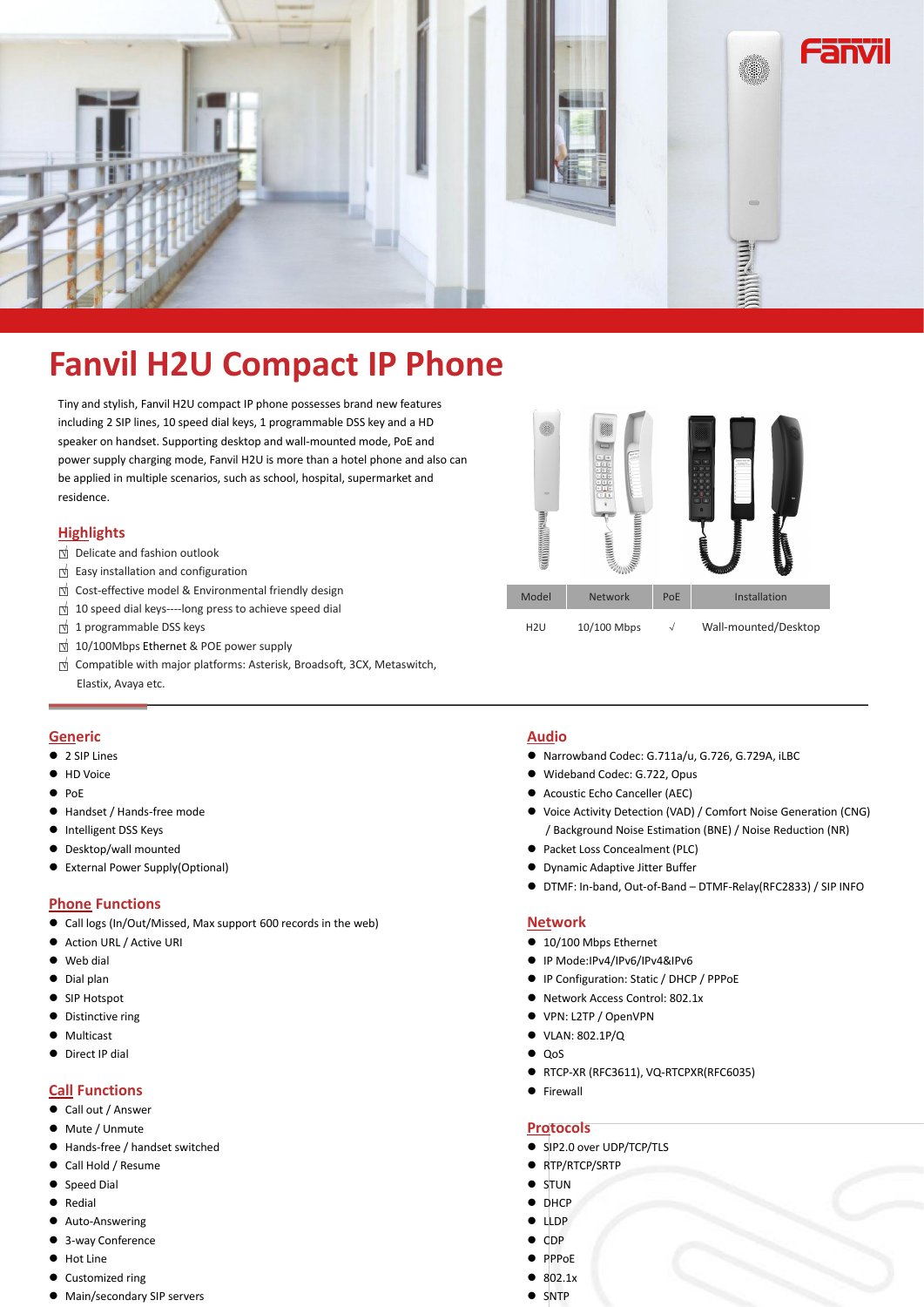

# **Fanvil H2U Compact IP Phone**

Tiny and stylish, Fanvil H2U compact IP phone possesses brand new features including 2 SIP lines, 10 speed dial keys, 1 programmable DSS key and a HD speaker on handset. Supporting desktop and wall-mounted mode, PoE and power supply charging mode, Fanvil H2U is more than a hotel phone and also can be applied in multiple scenarios, such as school, hospital, supermarket and residence.

## **Highlights**

- 
- $□$  Delicate and fashion outlook<br>  $□$  Easy installation and configuration
- 
- □ Cost-effective model & Environmental friendly design □<br>□ 10 speed dial keys----long press to achieve speed dial<br>□ 1 programmable DSS keys
- 
- $\overline{\mathbb{M}}$  10/100Mbps Ethernet & POE power supply
- □<sup>√</sup> Compatible with major platforms: Asterisk, Broadsoft, 3CX, Metaswitch,

#### **Generic**

- 2 SIP Lines
- **+** HD Voice
- $\bullet$  PoE
- Handset / Hands-free mode
- **•** Intelligent DSS Keys
- Desktop/wall mounted
- External Power Supply(Optional)

#### **Phone Functions**

- Call logs (In/Out/Missed, Max support 600 records in the web)
- Action URL / Active URI
- Web dial
- $\bullet$  Dial plan
- SIP Hotspot
- Distinctive ring
- $\bullet$  Multicast
- $\bullet$  Direct IP dial

## **Call Functions**

- Call out / Answer
- $\bullet$  Mute / Unmute
- Hands-free / handset switched
- Call Hold / Resume
- Speed Dial
- **•** Redial
- Auto-Answering
- 3-way Conference
- Hot Line
- Customized ring
- Main/secondary SIP servers

#### **Audio**

- Narrowband Codec: G.711a/u, G.726, G.729A, iLBC
- Wideband Codec: G.722, Opus
- Acoustic Echo Canceller (AEC)
- Voice Activity Detection (VAD) / Comfort Noise Generation (CNG) / Background Noise Estimation (BNE) / Noise Reduction (NR)
- Packet Loss Concealment (PLC)
- Dynamic Adaptive Jitter Buffer
	- DTMF: In-band, Out-of-Band DTMF-Relay(RFC2833) / SIP INFO

#### **Network**

- 10/100 Mbps Ethernet
- IP Mode:IPv4/IPv6/IPv4&IPv6
- IP Configuration: Static / DHCP / PPPoE
- Network Access Control: 802.1x
- VPN: L2TP / OpenVPN
- VLAN: 802.1P/Q
- $\bullet$  QoS
- RTCP-XR (RFC3611), VQ-RTCPXR(RFC6035)
- **•** Firewall

#### **Protocols**

- SIP2.0 over UDP/TCP/TLS
- RTP/RTCP/SRTP
- $\bullet$  STUN
- **DHCP**
- $\bullet$  LLDP
- $\bullet$  CDP
- PPPoE
- $\bullet$  802.1x
- $\bullet$  SNTP